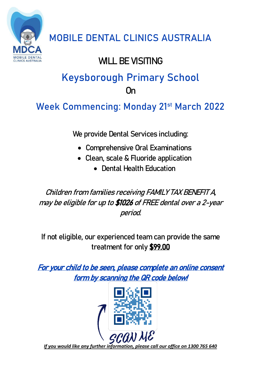**MOBILE DENTAL CLINICS AUSTRALIA**

### WILL BE VISITING

# **Keysborough Primary School On**

**Week Commencing: Monday 21st March 2022**

We provide Dental Services including:

- Comprehensive Oral Examinations
- Clean, scale & Fluoride application
	- Dental Health Education

Children from families receiving FAMILY TAX BENEFIT A, may be eligible for up to \$1026 of FREE dental over a 2-year period.

If not eligible, our experienced team can provide the same treatment for only \$99.00

For your child to be seen, please complete an online consent form by scanning the QR code below!



*If you would like any further information, please call our office on 1300 765 640*